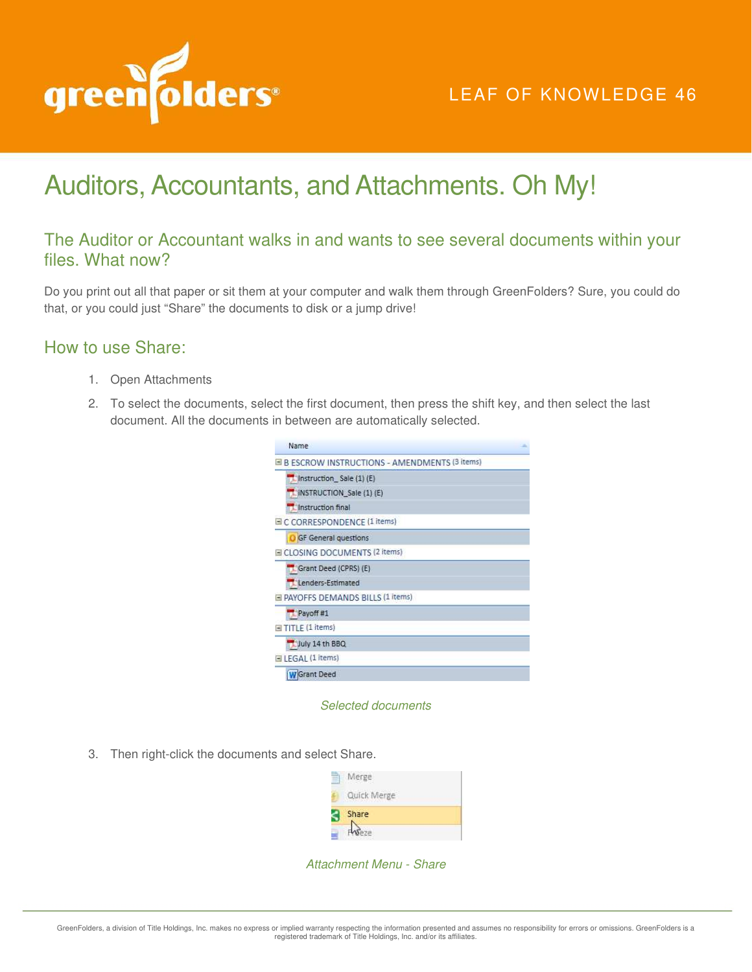

## LEAF OF KNOWLEDGE 46

# Auditors, Accountants, and Attachments. Oh My!

## The Auditor or Accountant walks in and wants to see several documents within your files. What now?

Do you print out all that paper or sit them at your computer and walk them through GreenFolders? Sure, you could do that, or you could just "Share" the documents to disk or a jump drive!

### How to use Share:

- 1. Open Attachments
- 2. To select the documents, select the first document, then press the shift key, and then select the last document. All the documents in between are automatically selected.

| Name                                                  |  |
|-------------------------------------------------------|--|
| <b>B B ESCROW INSTRUCTIONS - AMENDMENTS (3 items)</b> |  |
| Instruction Sale (1) (E)                              |  |
| iNSTRUCTION Sale (1) (E)                              |  |
| Instruction final                                     |  |
| E C CORRESPONDENCE (1 items)                          |  |
| <b>O</b> GF General questions                         |  |
| E CLOSING DOCUMENTS (2 items)                         |  |
| Grant Deed (CPRS) (E)                                 |  |
| Lenders-Estimated                                     |  |
| F PAYOFFS DEMANDS BILLS (1 items)                     |  |
| Payoff #1                                             |  |
| <b>El TITLE (1 items)</b>                             |  |
| July 14 th BBQ                                        |  |
| ELEGAL (1 items)                                      |  |
| <b>W</b> Grant Deed                                   |  |



3. Then right-click the documents and select Share.

| Quick Merge<br><b>A PAINT A STREET</b> |  |
|----------------------------------------|--|
| Share                                  |  |

Attachment Menu - Share